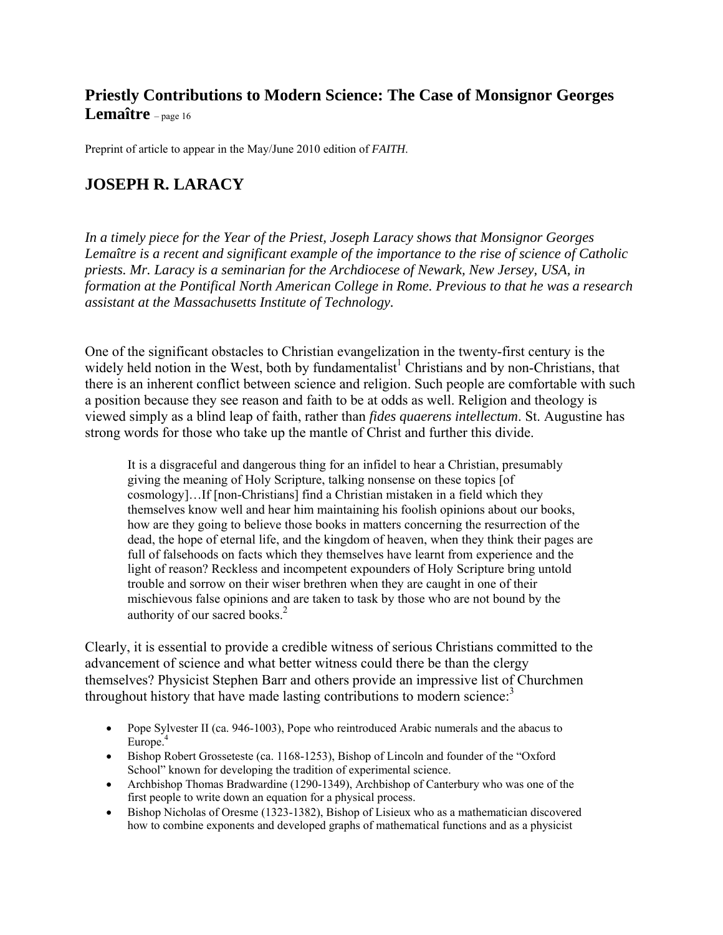# **Priestly Contributions to Modern Science: The Case of Monsignor Georges Lemaître** – page 16

Preprint of article to appear in the May/June 2010 edition of *FAITH*.

## **JOSEPH R. LARACY**

*In a timely piece for the Year of the Priest, Joseph Laracy shows that Monsignor Georges Lemaître is a recent and significant example of the importance to the rise of science of Catholic priests. Mr. Laracy is a seminarian for the Archdiocese of Newark, New Jersey, USA, in formation at the Pontifical North American College in Rome. Previous to that he was a research assistant at the Massachusetts Institute of Technology.* 

One of the significant obstacles to Christian evangelization in the twenty-first century is the widely held notion in the West, both by fundamentalist<sup>1</sup> Christians and by non-Christians, that there is an inherent conflict between science and religion. Such people are comfortable with such a position because they see reason and faith to be at odds as well. Religion and theology is viewed simply as a blind leap of faith, rather than *fides quaerens intellectum*. St. Augustine has strong words for those who take up the mantle of Christ and further this divide.

It is a disgraceful and dangerous thing for an infidel to hear a Christian, presumably giving the meaning of Holy Scripture, talking nonsense on these topics [of cosmology]…If [non-Christians] find a Christian mistaken in a field which they themselves know well and hear him maintaining his foolish opinions about our books, how are they going to believe those books in matters concerning the resurrection of the dead, the hope of eternal life, and the kingdom of heaven, when they think their pages are full of falsehoods on facts which they themselves have learnt from experience and the light of reason? Reckless and incompetent expounders of Holy Scripture bring untold trouble and sorrow on their wiser brethren when they are caught in one of their mischievous false opinions and are taken to task by those who are not bound by the authority of our sacred books. $<sup>2</sup>$ </sup>

Clearly, it is essential to provide a credible witness of serious Christians committed to the advancement of science and what better witness could there be than the clergy themselves? Physicist Stephen Barr and others provide an impressive list of Churchmen throughout history that have made lasting contributions to modern science: $3$ 

- Pope Sylvester II (ca. 946-1003), Pope who reintroduced Arabic numerals and the abacus to Europe.<sup>4</sup>
- Bishop Robert Grosseteste (ca. 1168-1253), Bishop of Lincoln and founder of the "Oxford" School" known for developing the tradition of experimental science.
- Archbishop Thomas Bradwardine (1290-1349), Archbishop of Canterbury who was one of the first people to write down an equation for a physical process.
- Bishop Nicholas of Oresme (1323-1382), Bishop of Lisieux who as a mathematician discovered how to combine exponents and developed graphs of mathematical functions and as a physicist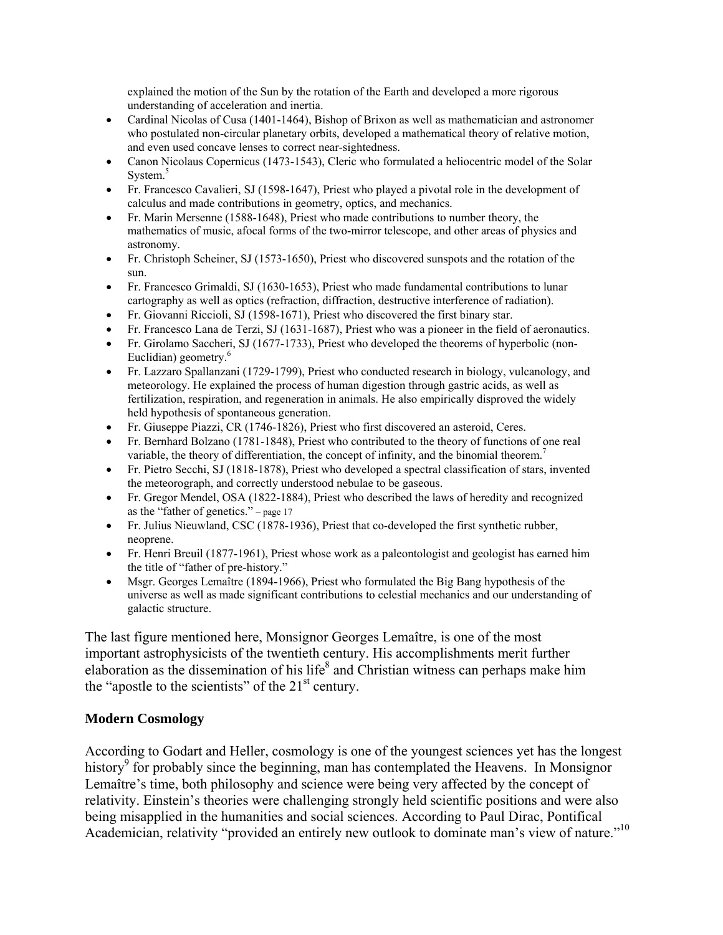explained the motion of the Sun by the rotation of the Earth and developed a more rigorous understanding of acceleration and inertia.

- Cardinal Nicolas of Cusa (1401-1464), Bishop of Brixon as well as mathematician and astronomer who postulated non-circular planetary orbits, developed a mathematical theory of relative motion, and even used concave lenses to correct near-sightedness.
- Canon Nicolaus Copernicus (1473-1543), Cleric who formulated a heliocentric model of the Solar System.<sup>5</sup>
- Fr. Francesco Cavalieri, SJ (1598-1647), Priest who played a pivotal role in the development of calculus and made contributions in geometry, optics, and mechanics.
- Fr. Marin Mersenne (1588-1648), Priest who made contributions to number theory, the mathematics of music, afocal forms of the two-mirror telescope, and other areas of physics and astronomy.
- Fr. Christoph Scheiner, SJ (1573-1650), Priest who discovered sunspots and the rotation of the sun.
- Fr. Francesco Grimaldi, SJ (1630-1653), Priest who made fundamental contributions to lunar cartography as well as optics (refraction, diffraction, destructive interference of radiation).
- Fr. Giovanni Riccioli, SJ (1598-1671), Priest who discovered the first binary star.
- Fr. Francesco Lana de Terzi, SJ (1631-1687), Priest who was a pioneer in the field of aeronautics.
- Fr. Girolamo Saccheri, SJ (1677-1733), Priest who developed the theorems of hyperbolic (non-Euclidian) geometry.<sup>6</sup>
- Fr. Lazzaro Spallanzani (1729-1799), Priest who conducted research in biology, vulcanology, and meteorology. He explained the process of human digestion through gastric acids, as well as fertilization, respiration, and regeneration in animals. He also empirically disproved the widely held hypothesis of spontaneous generation.
- Fr. Giuseppe Piazzi, CR (1746-1826), Priest who first discovered an asteroid, Ceres.
- Fr. Bernhard Bolzano (1781-1848), Priest who contributed to the theory of functions of one real variable, the theory of differentiation, the concept of infinity, and the binomial theorem.7
- Fr. Pietro Secchi, SJ (1818-1878), Priest who developed a spectral classification of stars, invented the meteorograph, and correctly understood nebulae to be gaseous.
- Fr. Gregor Mendel, OSA (1822-1884), Priest who described the laws of heredity and recognized as the "father of genetics." – page 17
- Fr. Julius Nieuwland, CSC (1878-1936), Priest that co-developed the first synthetic rubber, neoprene.
- Fr. Henri Breuil (1877-1961), Priest whose work as a paleontologist and geologist has earned him the title of "father of pre-history."
- Msgr. Georges Lemaître (1894-1966), Priest who formulated the Big Bang hypothesis of the universe as well as made significant contributions to celestial mechanics and our understanding of galactic structure.

The last figure mentioned here, Monsignor Georges Lemaître, is one of the most important astrophysicists of the twentieth century. His accomplishments merit further elaboration as the dissemination of his life<sup>8</sup> and Christian witness can perhaps make him the "apostle to the scientists" of the  $21<sup>st</sup>$  century.

### **Modern Cosmology**

According to Godart and Heller, cosmology is one of the youngest sciences yet has the longest history<sup>9</sup> for probably since the beginning, man has contemplated the Heavens. In Monsignor Lemaître's time, both philosophy and science were being very affected by the concept of relativity. Einstein's theories were challenging strongly held scientific positions and were also being misapplied in the humanities and social sciences. According to Paul Dirac, Pontifical Academician, relativity "provided an entirely new outlook to dominate man's view of nature."<sup>10</sup>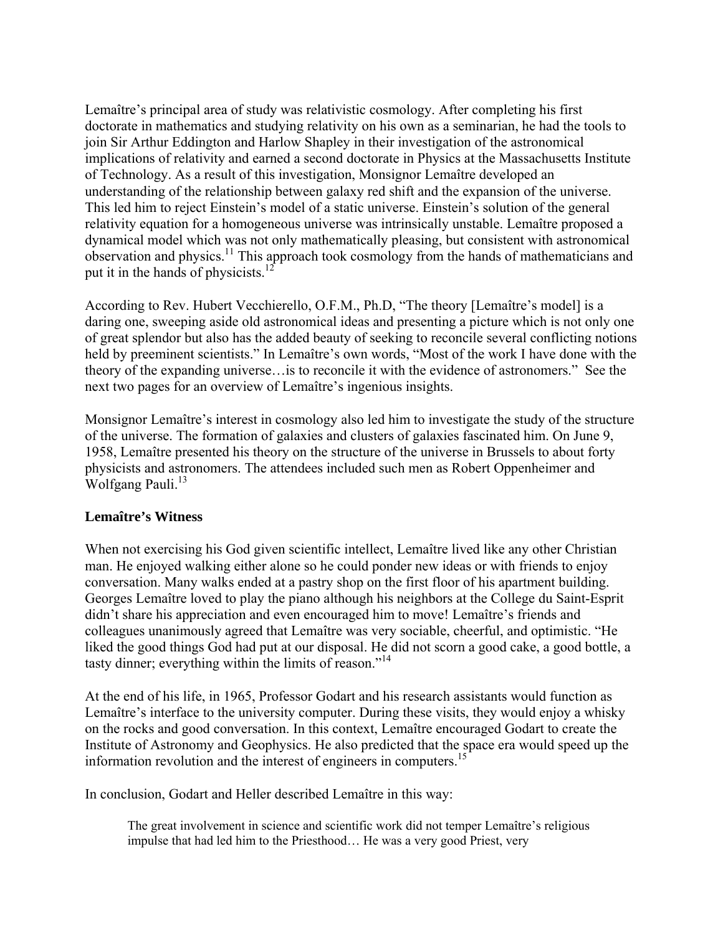Lemaître's principal area of study was relativistic cosmology. After completing his first doctorate in mathematics and studying relativity on his own as a seminarian, he had the tools to join Sir Arthur Eddington and Harlow Shapley in their investigation of the astronomical implications of relativity and earned a second doctorate in Physics at the Massachusetts Institute of Technology. As a result of this investigation, Monsignor Lemaître developed an understanding of the relationship between galaxy red shift and the expansion of the universe. This led him to reject Einstein's model of a static universe. Einstein's solution of the general relativity equation for a homogeneous universe was intrinsically unstable. Lemaître proposed a dynamical model which was not only mathematically pleasing, but consistent with astronomical observation and physics.11 This approach took cosmology from the hands of mathematicians and put it in the hands of physicists.<sup>12</sup>

According to Rev. Hubert Vecchierello, O.F.M., Ph.D, "The theory [Lemaître's model] is a daring one, sweeping aside old astronomical ideas and presenting a picture which is not only one of great splendor but also has the added beauty of seeking to reconcile several conflicting notions held by preeminent scientists." In Lemaître's own words, "Most of the work I have done with the theory of the expanding universe…is to reconcile it with the evidence of astronomers." See the next two pages for an overview of Lemaître's ingenious insights.

Monsignor Lemaître's interest in cosmology also led him to investigate the study of the structure of the universe. The formation of galaxies and clusters of galaxies fascinated him. On June 9, 1958, Lemaître presented his theory on the structure of the universe in Brussels to about forty physicists and astronomers. The attendees included such men as Robert Oppenheimer and Wolfgang Pauli.<sup>13</sup>

### **Lemaître's Witness**

When not exercising his God given scientific intellect, Lemaître lived like any other Christian man. He enjoyed walking either alone so he could ponder new ideas or with friends to enjoy conversation. Many walks ended at a pastry shop on the first floor of his apartment building. Georges Lemaître loved to play the piano although his neighbors at the College du Saint-Esprit didn't share his appreciation and even encouraged him to move! Lemaître's friends and colleagues unanimously agreed that Lemaître was very sociable, cheerful, and optimistic. "He liked the good things God had put at our disposal. He did not scorn a good cake, a good bottle, a tasty dinner; everything within the limits of reason."<sup>14</sup>

At the end of his life, in 1965, Professor Godart and his research assistants would function as Lemaître's interface to the university computer. During these visits, they would enjoy a whisky on the rocks and good conversation. In this context, Lemaître encouraged Godart to create the Institute of Astronomy and Geophysics. He also predicted that the space era would speed up the information revolution and the interest of engineers in computers.<sup>15</sup>

In conclusion, Godart and Heller described Lemaître in this way:

The great involvement in science and scientific work did not temper Lemaître's religious impulse that had led him to the Priesthood… He was a very good Priest, very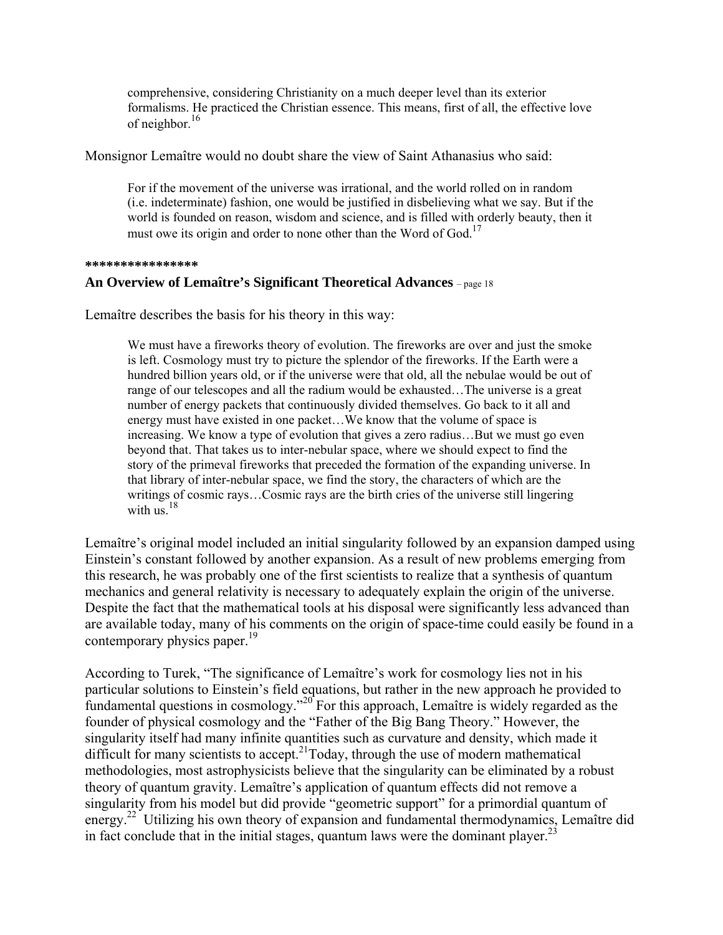comprehensive, considering Christianity on a much deeper level than its exterior formalisms. He practiced the Christian essence. This means, first of all, the effective love of neighbor.16

Monsignor Lemaître would no doubt share the view of Saint Athanasius who said:

For if the movement of the universe was irrational, and the world rolled on in random (i.e. indeterminate) fashion, one would be justified in disbelieving what we say. But if the world is founded on reason, wisdom and science, and is filled with orderly beauty, then it must owe its origin and order to none other than the Word of God.<sup>17</sup>

#### **\*\*\*\*\*\*\*\*\*\*\*\*\*\*\*\***

### **An Overview of Lemaître's Significant Theoretical Advances** – page 18

Lemaître describes the basis for his theory in this way:

We must have a fireworks theory of evolution. The fireworks are over and just the smoke is left. Cosmology must try to picture the splendor of the fireworks. If the Earth were a hundred billion years old, or if the universe were that old, all the nebulae would be out of range of our telescopes and all the radium would be exhausted…The universe is a great number of energy packets that continuously divided themselves. Go back to it all and energy must have existed in one packet…We know that the volume of space is increasing. We know a type of evolution that gives a zero radius…But we must go even beyond that. That takes us to inter-nebular space, where we should expect to find the story of the primeval fireworks that preceded the formation of the expanding universe. In that library of inter-nebular space, we find the story, the characters of which are the writings of cosmic rays…Cosmic rays are the birth cries of the universe still lingering with  $\overline{u}$ <sup>18</sup>

Lemaître's original model included an initial singularity followed by an expansion damped using Einstein's constant followed by another expansion. As a result of new problems emerging from this research, he was probably one of the first scientists to realize that a synthesis of quantum mechanics and general relativity is necessary to adequately explain the origin of the universe. Despite the fact that the mathematical tools at his disposal were significantly less advanced than are available today, many of his comments on the origin of space-time could easily be found in a contemporary physics paper.<sup>19</sup>

According to Turek, "The significance of Lemaître's work for cosmology lies not in his particular solutions to Einstein's field equations, but rather in the new approach he provided to fundamental questions in cosmology."20 For this approach, Lemaître is widely regarded as the founder of physical cosmology and the "Father of the Big Bang Theory." However, the singularity itself had many infinite quantities such as curvature and density, which made it difficult for many scientists to accept.<sup>21</sup>Today, through the use of modern mathematical methodologies, most astrophysicists believe that the singularity can be eliminated by a robust theory of quantum gravity. Lemaître's application of quantum effects did not remove a singularity from his model but did provide "geometric support" for a primordial quantum of energy.<sup>22</sup> Utilizing his own theory of expansion and fundamental thermodynamics, Lemaître did in fact conclude that in the initial stages, quantum laws were the dominant player.<sup>23</sup>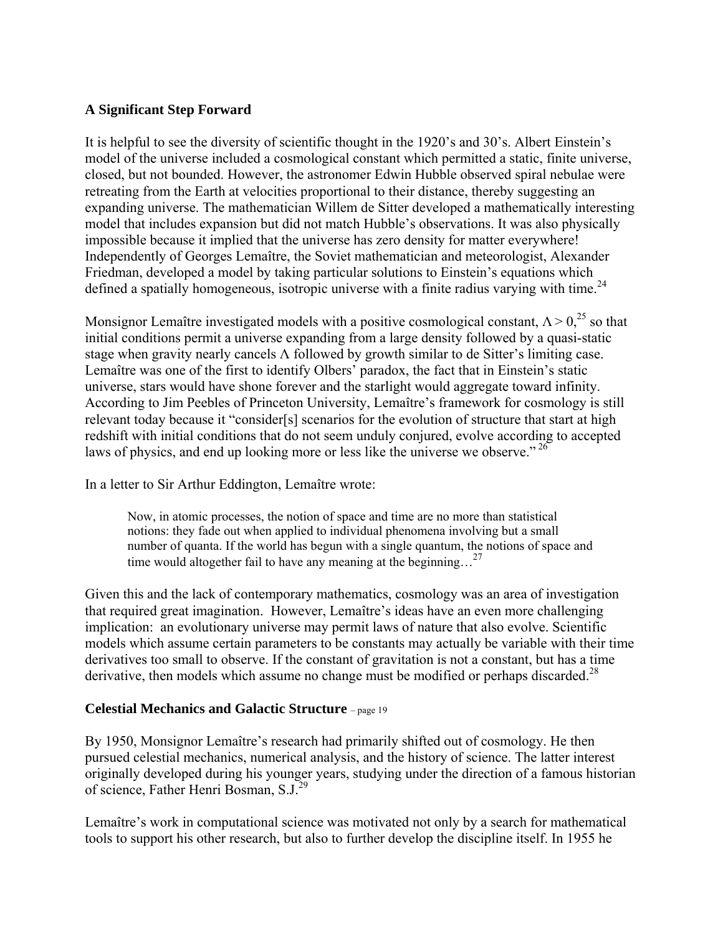## **A Significant Step Forward**

It is helpful to see the diversity of scientific thought in the 1920's and 30's. Albert Einstein's model of the universe included a cosmological constant which permitted a static, finite universe, closed, but not bounded. However, the astronomer Edwin Hubble observed spiral nebulae were retreating from the Earth at velocities proportional to their distance, thereby suggesting an expanding universe. The mathematician Willem de Sitter developed a mathematically interesting model that includes expansion but did not match Hubble's observations. It was also physically impossible because it implied that the universe has zero density for matter everywhere! Independently of Georges Lemaître, the Soviet mathematician and meteorologist, Alexander Friedman, developed a model by taking particular solutions to Einstein's equations which defined a spatially homogeneous, isotropic universe with a finite radius varying with time.<sup>24</sup>

Monsignor Lemaître investigated models with a positive cosmological constant,  $\Lambda > 0$ <sup>25</sup> so that initial conditions permit a universe expanding from a large density followed by a quasi-static stage when gravity nearly cancels Λ followed by growth similar to de Sitter's limiting case. Lemaître was one of the first to identify Olbers' paradox, the fact that in Einstein's static universe, stars would have shone forever and the starlight would aggregate toward infinity. According to Jim Peebles of Princeton University, Lemaître's framework for cosmology is still relevant today because it "consider[s] scenarios for the evolution of structure that start at high redshift with initial conditions that do not seem unduly conjured, evolve according to accepted laws of physics, and end up looking more or less like the universe we observe."<sup>26</sup>

In a letter to Sir Arthur Eddington, Lemaître wrote:

Now, in atomic processes, the notion of space and time are no more than statistical notions: they fade out when applied to individual phenomena involving but a small number of quanta. If the world has begun with a single quantum, the notions of space and time would altogether fail to have any meaning at the beginning...<sup>27</sup>

Given this and the lack of contemporary mathematics, cosmology was an area of investigation that required great imagination. However, Lemaître's ideas have an even more challenging implication: an evolutionary universe may permit laws of nature that also evolve. Scientific models which assume certain parameters to be constants may actually be variable with their time derivatives too small to observe. If the constant of gravitation is not a constant, but has a time derivative, then models which assume no change must be modified or perhaps discarded.<sup>28</sup>

### **Celestial Mechanics and Galactic Structure** – page 19

By 1950, Monsignor Lemaître's research had primarily shifted out of cosmology. He then pursued celestial mechanics, numerical analysis, and the history of science. The latter interest originally developed during his younger years, studying under the direction of a famous historian of science, Father Henri Bosman, S.J.29

Lemaître's work in computational science was motivated not only by a search for mathematical tools to support his other research, but also to further develop the discipline itself. In 1955 he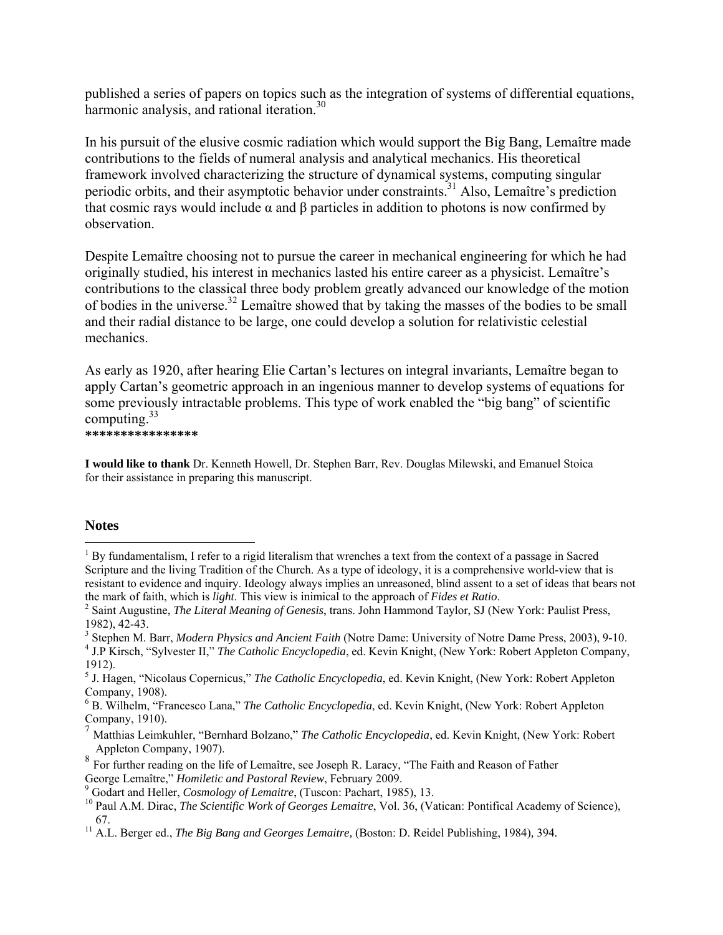published a series of papers on topics such as the integration of systems of differential equations, harmonic analysis, and rational iteration.<sup>30</sup>

In his pursuit of the elusive cosmic radiation which would support the Big Bang, Lemaître made contributions to the fields of numeral analysis and analytical mechanics. His theoretical framework involved characterizing the structure of dynamical systems, computing singular periodic orbits, and their asymptotic behavior under constraints.<sup>31</sup> Also, Lemaître's prediction that cosmic rays would include α and β particles in addition to photons is now confirmed by observation.

Despite Lemaître choosing not to pursue the career in mechanical engineering for which he had originally studied, his interest in mechanics lasted his entire career as a physicist. Lemaître's contributions to the classical three body problem greatly advanced our knowledge of the motion of bodies in the universe.32 Lemaître showed that by taking the masses of the bodies to be small and their radial distance to be large, one could develop a solution for relativistic celestial mechanics.

As early as 1920, after hearing Elie Cartan's lectures on integral invariants, Lemaître began to apply Cartan's geometric approach in an ingenious manner to develop systems of equations for some previously intractable problems. This type of work enabled the "big bang" of scientific computing. $33$ 

**\*\*\*\*\*\*\*\*\*\*\*\*\*\*\*\*** 

**I would like to thank** Dr. Kenneth Howell, Dr. Stephen Barr, Rev. Douglas Milewski, and Emanuel Stoica for their assistance in preparing this manuscript.

### **Notes**

 $\overline{a}$ 

<sup>3</sup> Stephen M. Barr, *Modern Physics and Ancient Faith* (Notre Dame: University of Notre Dame Press, 2003), 9-10.<br><sup>4</sup> LB Kirsch. "Sylvester H." The Catholic Franclonadia ed. Kovin Knight, Now York: Bobert Appleton Compony.

<sup>&</sup>lt;sup>1</sup> By fundamentalism, I refer to a rigid literalism that wrenches a text from the context of a passage in Sacred Scripture and the living Tradition of the Church. As a type of ideology, it is a comprehensive world-view that is resistant to evidence and inquiry. Ideology always implies an unreasoned, blind assent to a set of ideas that bears not the mark of faith, which is *light*. This view is inimical to the approach of *Fides et Ratio*. 2

Saint Augustine, *The Literal Meaning of Genesis*, trans. John Hammond Taylor, SJ (New York: Paulist Press, 1982), 42-43.

<sup>&</sup>lt;sup>4</sup> J.P Kirsch, "Sylvester II," *The Catholic Encyclopedia*, ed. Kevin Knight, (New York: Robert Appleton Company, 1912).

<sup>5</sup> J. Hagen, "Nicolaus Copernicus," *The Catholic Encyclopedia*, ed. Kevin Knight, (New York: Robert Appleton Company, 1908).

<sup>6</sup> B. Wilhelm, "Francesco Lana," *The Catholic Encyclopedia*, ed. Kevin Knight, (New York: Robert Appleton Company, 1910).

<sup>7</sup> Matthias Leimkuhler, "Bernhard Bolzano," *The Catholic Encyclopedia*, ed. Kevin Knight, (New York: Robert Appleton Company, 1907).

<sup>8</sup> For further reading on the life of Lemaître, see Joseph R. Laracy, "The Faith and Reason of Father George Lemaître," *Homiletic and Pastoral Review*, February 2009.<br><sup>9</sup> Godart and Heller, *Cosmology of Lemaitre*, (Tuscon: Pachart, 1985), 13.

<sup>&</sup>lt;sup>10</sup> Paul A.M. Dirac, *The Scientific Work of Georges Lemaitre*, Vol. 36, (Vatican: Pontifical Academy of Science),

<sup>67. 11</sup> A.L. Berger ed., *The Big Bang and Georges Lemaitre,* (Boston: D. Reidel Publishing, 1984)*,* 394*.*